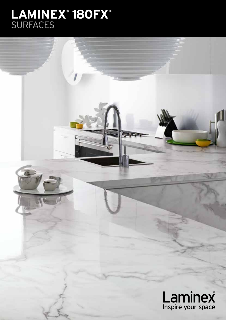## **LAMINEX® 180FX®** SURFACES

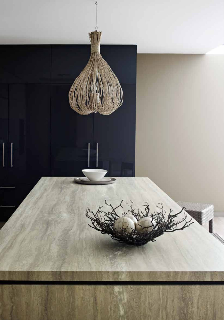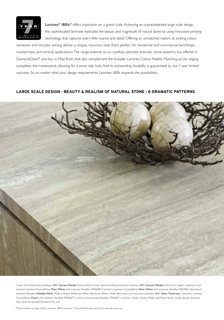

Laminex<sup>®</sup> I80fx<sup>®</sup> offers inspiration on a grand scale. Achieving an unprecedented large scale design, this sophisticated laminate replicates the beauty and magnitude of natural stone by using innovative printing technology that captures every little nuance and detail. Offering an unmatched realism, its striking colour

variations and intricate veining deliver a unique, luxurious look that's perfect for residential and commercial benchtops, countertops, and vertical applications. The range extends to six carefully selected dramatic stone patterns, five offered in DiamondGloss® and four in Matt finish, that also complement the broader Laminex Colour Palette. Matching acrylic edging completes the masterpiece, allowing for a stone slab look. And its outstanding durability is guaranteed by our 7 year limited warranty. So no matter what your design requirements, Laminex 180fx expands the possibilities.

## LARGE SCALE DESIGN **= BEAUTY & REALISM OF NATURAL STONE = 6 DRAMATIC PATTERNS**



Cover: Front benchtop Laminex 180fx Carrera Marble DiamondGloss finish. Back benchtop and panel Laminex 180fx Carrera Marble Matt finish. Upper cupboards and drawers Laminex CrystalGloss Polar White with Laminex Handles (945602). Cabinetry Laminex CrystalGloss Polar White with Laminex Handles (935381). Splashback Laminex Metaline Palladian Perle. Walls in Dulux Wash and Wear White on White. Inside: Benchtop and end panel Laminex 180fx Silver Travertine. Cabinetry Laminex CrystalGloss Fossil with Laminex Handles (935367) on doors and Laminex Handles (935367) on draws. Walls in Dulux Wash and Wear Arava. Inside spread: Stainless Neo Stool by Kendall Furniture Pty Ltd.

\*Please obtain a copy of the Laminex 180fx surfaces 7 year limited warranty from laminex.com.au.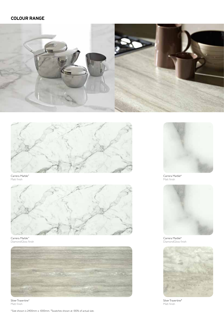## **COLOUR RANGE**





Carrera Marble\* Matt finish



Carrera Marble\* DiamondGloss finish



Silver Travertine\* Matt finish

\*Size shown is 2400mm x 1000mm. #Swatches shown at 100% of actual size.



Carrera Marble# Matt finish



Carrera Marble# DiamondGloss finish



Silver Travertine<sup>#</sup> Matt finish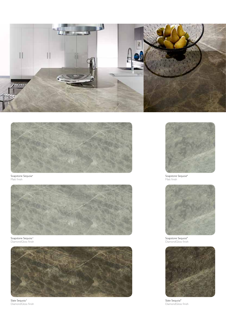



Soapstone Sequoia\* Matt finish



Soapstone Sequoia\* DiamondGloss finish



Slate Sequoia\* DiamondGloss finish



Soapstone Sequoia# Matt finish



Soapstone Sequoia# DiamondGloss finish



Slate Sequoia# DiamondGloss finish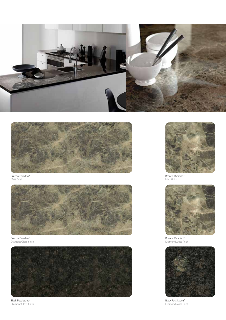



Breccia Paradiso\* Matt finish



Breccia Paradiso\* DiamondGloss finish



Black Fossilstone\* DiamondGloss finish



Breccia Paradiso# Matt finish



Breccia Paradiso# DiamondGloss finish



Black Fossilstone# DiamondGloss finish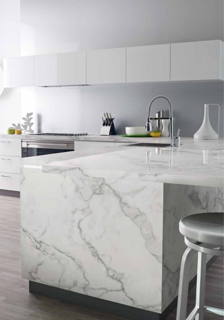